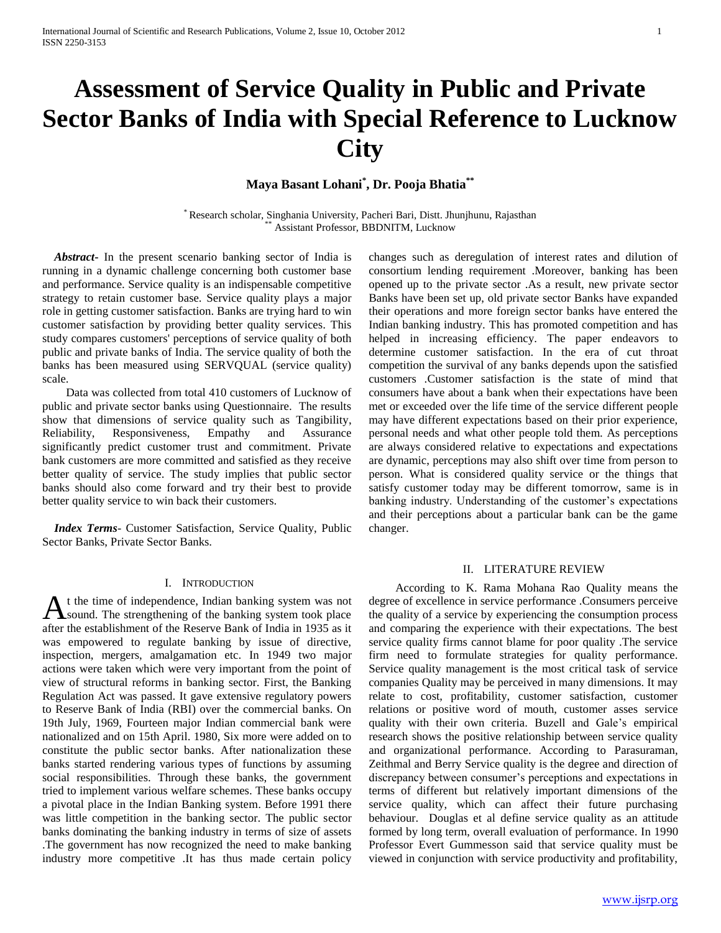# **Assessment of Service Quality in Public and Private Sector Banks of India with Special Reference to Lucknow City**

# **Maya Basant Lohani\* , Dr. Pooja Bhatia\*\***

\* Research scholar, Singhania University, Pacheri Bari, Distt. Jhunjhunu, Rajasthan Assistant Professor, BBDNITM, Lucknow

 *Abstract***-** In the present scenario banking sector of India is running in a dynamic challenge concerning both customer base and performance. Service quality is an indispensable competitive strategy to retain customer base. Service quality plays a major role in getting customer satisfaction. Banks are trying hard to win customer satisfaction by providing better quality services. This study compares customers' perceptions of service quality of both public and private banks of India. The service quality of both the banks has been measured using SERVQUAL (service quality) scale.

 Data was collected from total 410 customers of Lucknow of public and private sector banks using Questionnaire. The results show that dimensions of service quality such as Tangibility, Reliability, Responsiveness, Empathy and Assurance significantly predict customer trust and commitment. Private bank customers are more committed and satisfied as they receive better quality of service. The study implies that public sector banks should also come forward and try their best to provide better quality service to win back their customers.

 *Index Terms*- Customer Satisfaction, Service Quality, Public Sector Banks, Private Sector Banks.

#### I. INTRODUCTION

t the time of independence, Indian banking system was not sound. The strengthening of the banking system took place A t the time of independence, Indian banking system was not sound. The strengthening of the banking system took place after the establishment of the Reserve Bank of India in 1935 as it was empowered to regulate banking by issue of directive, inspection, mergers, amalgamation etc. In 1949 two major actions were taken which were very important from the point of view of structural reforms in banking sector. First, the Banking Regulation Act was passed. It gave extensive regulatory powers to Reserve Bank of India (RBI) over the commercial banks. On 19th July, 1969, Fourteen major Indian commercial bank were nationalized and on 15th April. 1980, Six more were added on to constitute the public sector banks. After nationalization these banks started rendering various types of functions by assuming social responsibilities. Through these banks, the government tried to implement various welfare schemes. These banks occupy a pivotal place in the Indian Banking system. Before 1991 there was little competition in the banking sector. The public sector banks dominating the banking industry in terms of size of assets .The government has now recognized the need to make banking industry more competitive .It has thus made certain policy

changes such as deregulation of interest rates and dilution of consortium lending requirement .Moreover, banking has been opened up to the private sector .As a result, new private sector Banks have been set up, old private sector Banks have expanded their operations and more foreign sector banks have entered the Indian banking industry. This has promoted competition and has helped in increasing efficiency. The paper endeavors to determine customer satisfaction. In the era of cut throat competition the survival of any banks depends upon the satisfied customers .Customer satisfaction is the state of mind that consumers have about a bank when their expectations have been met or exceeded over the life time of the service different people may have different expectations based on their prior experience, personal needs and what other people told them. As perceptions are always considered relative to expectations and expectations are dynamic, perceptions may also shift over time from person to person. What is considered quality service or the things that satisfy customer today may be different tomorrow, same is in banking industry. Understanding of the customer's expectations and their perceptions about a particular bank can be the game changer.

#### II. LITERATURE REVIEW

 According to K. Rama Mohana Rao Quality means the degree of excellence in service performance .Consumers perceive the quality of a service by experiencing the consumption process and comparing the experience with their expectations. The best service quality firms cannot blame for poor quality .The service firm need to formulate strategies for quality performance. Service quality management is the most critical task of service companies Quality may be perceived in many dimensions. It may relate to cost, profitability, customer satisfaction, customer relations or positive word of mouth, customer asses service quality with their own criteria. Buzell and Gale's empirical research shows the positive relationship between service quality and organizational performance. According to Parasuraman, Zeithmal and Berry Service quality is the degree and direction of discrepancy between consumer's perceptions and expectations in terms of different but relatively important dimensions of the service quality, which can affect their future purchasing behaviour. Douglas et al define service quality as an attitude formed by long term, overall evaluation of performance. In 1990 Professor Evert Gummesson said that service quality must be viewed in conjunction with service productivity and profitability,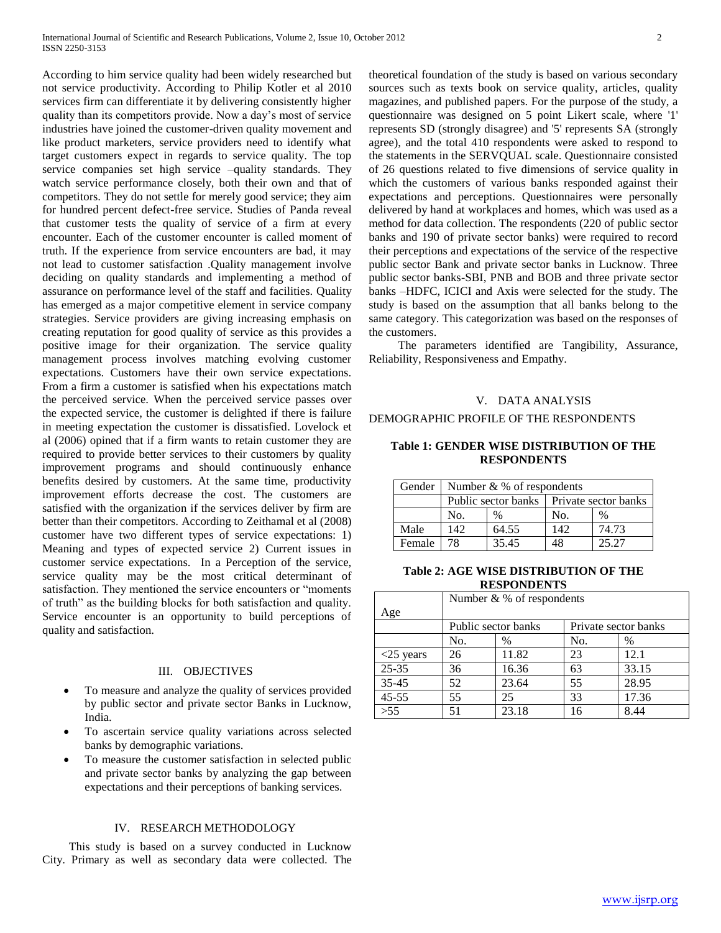According to him service quality had been widely researched but not service productivity. According to Philip Kotler et al 2010 services firm can differentiate it by delivering consistently higher quality than its competitors provide. Now a day's most of service industries have joined the customer-driven quality movement and like product marketers, service providers need to identify what target customers expect in regards to service quality. The top service companies set high service –quality standards. They watch service performance closely, both their own and that of competitors. They do not settle for merely good service; they aim for hundred percent defect-free service. Studies of Panda reveal that customer tests the quality of service of a firm at every encounter. Each of the customer encounter is called moment of truth. If the experience from service encounters are bad, it may not lead to customer satisfaction .Quality management involve deciding on quality standards and implementing a method of assurance on performance level of the staff and facilities. Quality has emerged as a major competitive element in service company strategies. Service providers are giving increasing emphasis on creating reputation for good quality of service as this provides a positive image for their organization. The service quality management process involves matching evolving customer expectations. Customers have their own service expectations. From a firm a customer is satisfied when his expectations match the perceived service. When the perceived service passes over the expected service, the customer is delighted if there is failure in meeting expectation the customer is dissatisfied. Lovelock et al (2006) opined that if a firm wants to retain customer they are required to provide better services to their customers by quality improvement programs and should continuously enhance benefits desired by customers. At the same time, productivity improvement efforts decrease the cost. The customers are satisfied with the organization if the services deliver by firm are better than their competitors. According to Zeithamal et al (2008) customer have two different types of service expectations: 1) Meaning and types of expected service 2) Current issues in customer service expectations. In a Perception of the service, service quality may be the most critical determinant of satisfaction. They mentioned the service encounters or "moments of truth" as the building blocks for both satisfaction and quality. Service encounter is an opportunity to build perceptions of quality and satisfaction.

## III. OBJECTIVES

- To measure and analyze the quality of services provided by public sector and private sector Banks in Lucknow, India.
- To ascertain service quality variations across selected banks by demographic variations.
- To measure the customer satisfaction in selected public and private sector banks by analyzing the gap between expectations and their perceptions of banking services.

#### IV. RESEARCH METHODOLOGY

 This study is based on a survey conducted in Lucknow City. Primary as well as secondary data were collected. The theoretical foundation of the study is based on various secondary sources such as texts book on service quality, articles, quality magazines, and published papers. For the purpose of the study, a questionnaire was designed on 5 point Likert scale, where '1' represents SD (strongly disagree) and '5' represents SA (strongly agree), and the total 410 respondents were asked to respond to the statements in the SERVQUAL scale. Questionnaire consisted of 26 questions related to five dimensions of service quality in which the customers of various banks responded against their expectations and perceptions. Questionnaires were personally delivered by hand at workplaces and homes, which was used as a method for data collection. The respondents (220 of public sector banks and 190 of private sector banks) were required to record their perceptions and expectations of the service of the respective public sector Bank and private sector banks in Lucknow. Three public sector banks-SBI, PNB and BOB and three private sector banks –HDFC, ICICI and Axis were selected for the study. The study is based on the assumption that all banks belong to the same category. This categorization was based on the responses of the customers.

 The parameters identified are Tangibility, Assurance, Reliability, Responsiveness and Empathy.

#### V. DATA ANALYSIS

#### DEMOGRAPHIC PROFILE OF THE RESPONDENTS

#### **Table 1: GENDER WISE DISTRIBUTION OF THE RESPONDENTS**

| Gender 1 | Number $& %$ of respondents |               |                                            |       |  |
|----------|-----------------------------|---------------|--------------------------------------------|-------|--|
|          |                             |               | Public sector banks   Private sector banks |       |  |
|          | No.                         | $\frac{0}{0}$ | No.                                        | $\%$  |  |
| Male     | 142                         | 64.55         | 142                                        | 74.73 |  |
| Female   | 78                          | 35.45         | 48                                         | 25.27 |  |

#### **Table 2: AGE WISE DISTRIBUTION OF THE RESPONDENTS**

|              | Number $& %$ of respondents |       |                      |       |  |  |
|--------------|-----------------------------|-------|----------------------|-------|--|--|
| Age          |                             |       |                      |       |  |  |
|              | Public sector banks         |       | Private sector banks |       |  |  |
|              | No.                         | $\%$  | No.                  | %     |  |  |
| $<$ 25 years | 26                          | 11.82 | 23                   | 12.1  |  |  |
| $25 - 35$    | 36                          | 16.36 | 63                   | 33.15 |  |  |
| 35-45        | 52                          | 23.64 | 55                   | 28.95 |  |  |
| $45 - 55$    | 55                          | 25    | 33                   | 17.36 |  |  |
| >55          |                             | 23.18 | 16                   | 8.44  |  |  |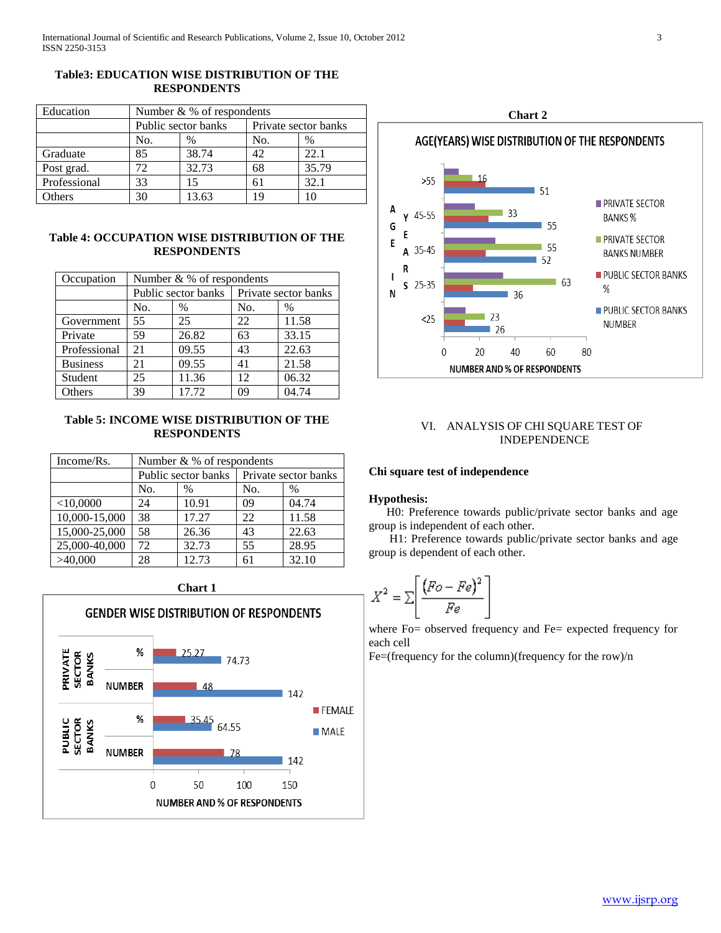## **Table3: EDUCATION WISE DISTRIBUTION OF THE RESPONDENTS**

| Education    | Number $& %$ of respondents |       |                      |       |  |
|--------------|-----------------------------|-------|----------------------|-------|--|
|              | Public sector banks         |       | Private sector banks |       |  |
|              | No.                         | $\%$  | No.                  | $\%$  |  |
| Graduate     | 85                          | 38.74 | 42                   | 22.1  |  |
| Post grad.   | 72                          | 32.73 | 68                   | 35.79 |  |
| Professional | 33                          |       | 61                   | 32.1  |  |
| Others       | 30                          | 13.63 | 19                   | 10    |  |

## **Table 4: OCCUPATION WISE DISTRIBUTION OF THE RESPONDENTS**

| Occupation      | Number & % of respondents |               |                      |       |  |
|-----------------|---------------------------|---------------|----------------------|-------|--|
|                 | Public sector banks       |               | Private sector banks |       |  |
|                 | No.                       | $\frac{0}{0}$ | No.                  | $\%$  |  |
| Government      | 55                        | 25            | 22                   | 11.58 |  |
| Private         | 59                        | 26.82         | 63                   | 33.15 |  |
| Professional    | 21                        | 09.55         | 43                   | 22.63 |  |
| <b>Business</b> | 21                        | 09.55         | 41                   | 21.58 |  |
| Student         | 25                        | 11.36         | 12                   | 06.32 |  |
| Others          | 39                        | 17.72         | 09                   | 04.74 |  |

## **Table 5: INCOME WISE DISTRIBUTION OF THE RESPONDENTS**

| Income/Rs.                  | Number $& %$ of respondents |                     |                      |       |  |
|-----------------------------|-----------------------------|---------------------|----------------------|-------|--|
|                             |                             | Public sector banks | Private sector banks |       |  |
|                             | No.                         | $\%$                | No.                  | $\%$  |  |
| $<$ 10,0000                 | 24                          | 10.91               | 09                   | 04.74 |  |
| 10,000-15,000               | 38                          | 17.27               | 22                   | 11.58 |  |
| $\overline{15,000}$ -25,000 | 58                          | 26.36               | 43                   | 22.63 |  |
| 25,000-40,000               | 72                          | 32.73               | 55                   | 28.95 |  |
| >40,000                     | 28                          | 12.73               | 61                   | 32.10 |  |

**Chart 1**





## VI. ANALYSIS OF CHI SQUARE TEST OF INDEPENDENCE

#### **Chi square test of independence**

#### **Hypothesis:**

ż

 H0: Preference towards public/private sector banks and age group is independent of each other.

 H1: Preference towards public/private sector banks and age group is dependent of each other.

$$
X^2 = \sum \left[ \frac{(F_O - Fe)^2}{Fe} \right]
$$

where Fo= observed frequency and Fe= expected frequency for each cell

Fe=(frequency for the column)(frequency for the row)/n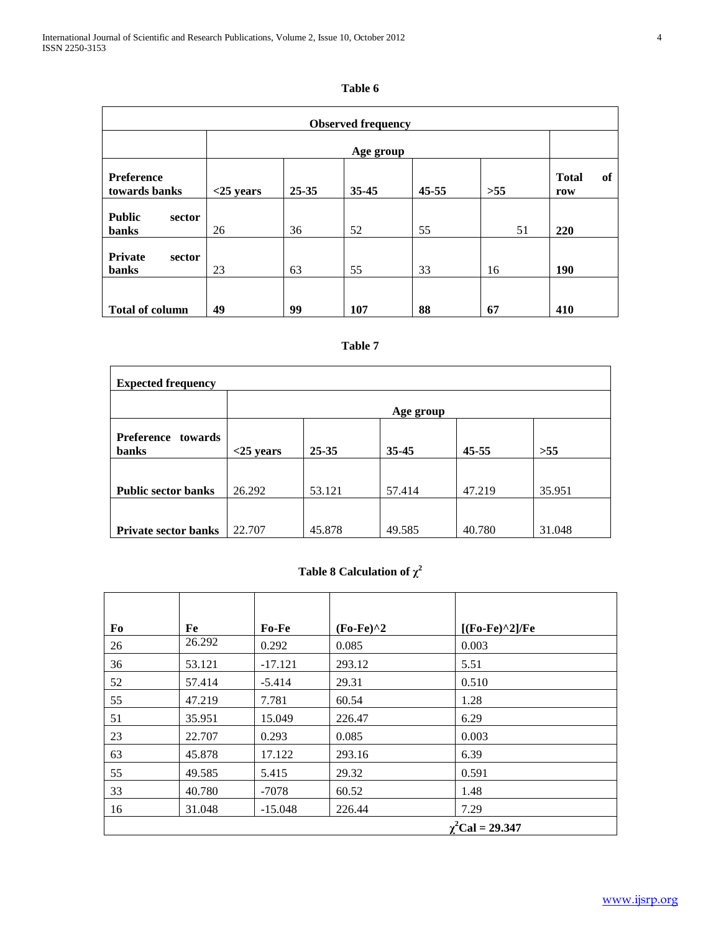## **Table 6**

|                                         | <b>Observed frequency</b> |           |           |           |     |                           |  |
|-----------------------------------------|---------------------------|-----------|-----------|-----------|-----|---------------------------|--|
|                                         |                           | Age group |           |           |     |                           |  |
| Preference<br>towards banks             | $<$ 25 years              | 25-35     | $35 - 45$ | $45 - 55$ | >55 | <b>Total</b><br>of<br>row |  |
| <b>Public</b><br>sector<br><b>banks</b> | 26                        | 36        | 52        | 55        | 51  | 220                       |  |
| Private<br>sector<br>banks              | 23                        | 63        | 55        | 33        | 16  | <b>190</b>                |  |
| <b>Total of column</b>                  | 49                        | 99        | 107       | 88        | 67  | 410                       |  |

# **Table 7**

| <b>Expected frequency</b>             |              |           |           |           |        |  |  |
|---------------------------------------|--------------|-----------|-----------|-----------|--------|--|--|
|                                       |              | Age group |           |           |        |  |  |
| Preference<br>towards<br><b>banks</b> | $<$ 25 years | $25 - 35$ | $35 - 45$ | $45 - 55$ | >55    |  |  |
|                                       |              |           |           |           |        |  |  |
| <b>Public sector banks</b>            | 26.292       | 53.121    | 57.414    | 47.219    | 35.951 |  |  |
| <b>Private sector banks</b>           | 22.707       | 45.878    | 49.585    | 40.780    | 31.048 |  |  |

# **Table 8 Calculation of**  $\chi^2$

| Fo | Fe     | Fo-Fe     | $(Fo-Fe)^2$ | $[(Fo-Fe)^2]/Fe$        |
|----|--------|-----------|-------------|-------------------------|
| 26 | 26.292 | 0.292     | 0.085       | 0.003                   |
| 36 | 53.121 | $-17.121$ | 293.12      | 5.51                    |
| 52 | 57.414 | $-5.414$  | 29.31       | 0.510                   |
| 55 | 47.219 | 7.781     | 60.54       | 1.28                    |
| 51 | 35.951 | 15.049    | 226.47      | 6.29                    |
| 23 | 22.707 | 0.293     | 0.085       | 0.003                   |
| 63 | 45.878 | 17.122    | 293.16      | 6.39                    |
| 55 | 49.585 | 5.415     | 29.32       | 0.591                   |
| 33 | 40.780 | $-7078$   | 60.52       | 1.48                    |
| 16 | 31.048 | $-15.048$ | 226.44      | 7.29                    |
|    |        |           |             | $\gamma^2$ Cal = 29.347 |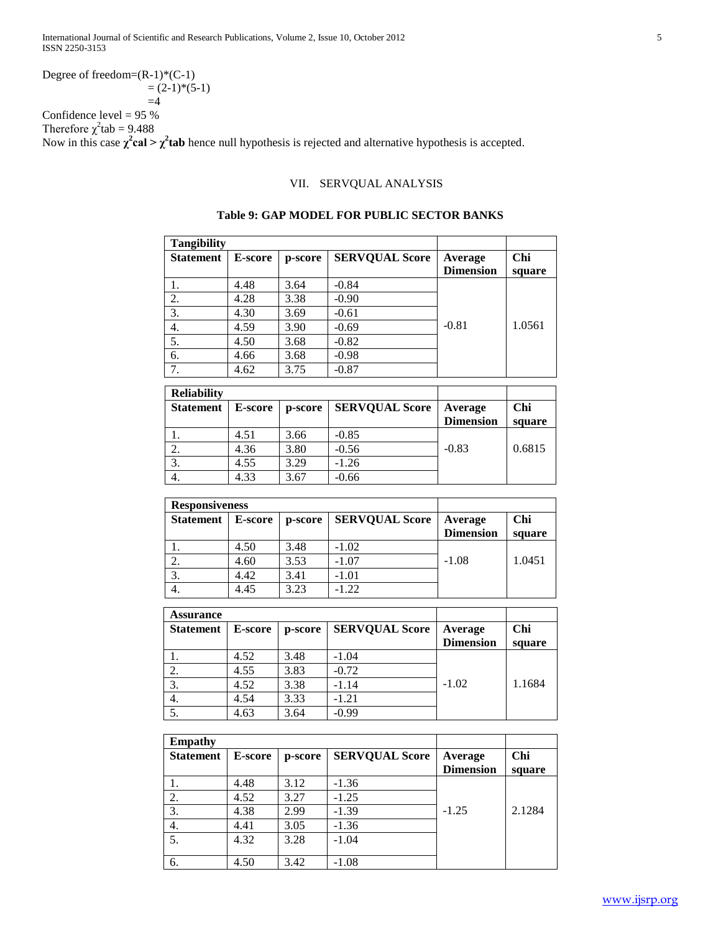Degree of freedom=(R-1)\*(C-1)  
= 
$$
(2-1)*(5-1)
$$

 $=4$ 

Confidence level  $= 95 %$ Therefore  $\chi^2$ tab = 9.488

Now in this case  $\chi^2$ **cal** >  $\chi^2$ **tab** hence null hypothesis is rejected and alternative hypothesis is accepted.

## VII. SERVQUAL ANALYSIS

| <b>Tangibility</b> |                |         |                       |                             |               |
|--------------------|----------------|---------|-----------------------|-----------------------------|---------------|
| <b>Statement</b>   | <b>E-score</b> | p-score | <b>SERVOUAL Score</b> | Average<br><b>Dimension</b> | Chi<br>square |
|                    | 4.48           | 3.64    | $-0.84$               |                             |               |
| 2.                 | 4.28           | 3.38    | $-0.90$               |                             |               |
| 3.                 | 4.30           | 3.69    | $-0.61$               |                             |               |
| 4.                 | 4.59           | 3.90    | $-0.69$               | $-0.81$                     | 1.0561        |
| 5.                 | 4.50           | 3.68    | $-0.82$               |                             |               |
| 6.                 | 4.66           | 3.68    | $-0.98$               |                             |               |
| 7.                 | 4.62           | 3.75    | $-0.87$               |                             |               |

## **Table 9: GAP MODEL FOR PUBLIC SECTOR BANKS**

| <b>Reliability</b> |                |         |                       |                             |               |
|--------------------|----------------|---------|-----------------------|-----------------------------|---------------|
| <b>Statement</b>   | <b>E-score</b> | p-score | <b>SERVQUAL Score</b> | Average<br><b>Dimension</b> | Chi<br>square |
|                    | 4.51           | 3.66    | $-0.85$               |                             |               |
| 2.                 | 4.36           | 3.80    | $-0.56$               | $-0.83$                     | 0.6815        |
|                    | 4.55           | 3.29    | $-1.26$               |                             |               |
| 3.                 |                |         |                       |                             |               |
| 4.                 | 4.33           | 3.67    | $-0.66$               |                             |               |

| <b>Responsiveness</b> |                |         |                       |                  |        |
|-----------------------|----------------|---------|-----------------------|------------------|--------|
| <b>Statement</b>      | <b>E-score</b> | p-score | <b>SERVQUAL Score</b> | Average          | Chi    |
|                       |                |         |                       | <b>Dimension</b> | square |
|                       | 4.50           | 3.48    | $-1.02$               |                  |        |
| ۷.                    | 4.60           | 3.53    | $-1.07$               | $-1.08$          | 1.0451 |
|                       | 4.42           | 3.41    | $-1.01$               |                  |        |
| 4.                    | 4.45           | 3.23    | $-1.22$               |                  |        |

| <b>Assurance</b> |                |         |                       |                             |               |
|------------------|----------------|---------|-----------------------|-----------------------------|---------------|
| <b>Statement</b> | <b>E-score</b> | p-score | <b>SERVQUAL Score</b> | Average<br><b>Dimension</b> | Chi<br>square |
|                  | 4.52           | 3.48    | $-1.04$               |                             |               |
| 2.               | 4.55           | 3.83    | $-0.72$               |                             |               |
| 3.               | 4.52           | 3.38    | $-1.14$               | $-1.02$                     | 1.1684        |
| 4.               | 4.54           | 3.33    | $-1.21$               |                             |               |
| 5.               | 4.63           | 3.64    | $-0.99$               |                             |               |

| <b>Empathy</b>   |                |         |                       |                             |               |
|------------------|----------------|---------|-----------------------|-----------------------------|---------------|
| <b>Statement</b> | <b>E-score</b> | p-score | <b>SERVQUAL Score</b> | Average<br><b>Dimension</b> | Chi<br>square |
|                  | 4.48           | 3.12    | $-1.36$               |                             |               |
| 2.               | 4.52           | 3.27    | $-1.25$               |                             |               |
| 3.               | 4.38           | 2.99    | $-1.39$               | $-1.25$                     | 2.1284        |
| 4.               | 4.41           | 3.05    | $-1.36$               |                             |               |
| 5.               | 4.32           | 3.28    | $-1.04$               |                             |               |
| 6.               | 4.50           | 3.42    | $-1.08$               |                             |               |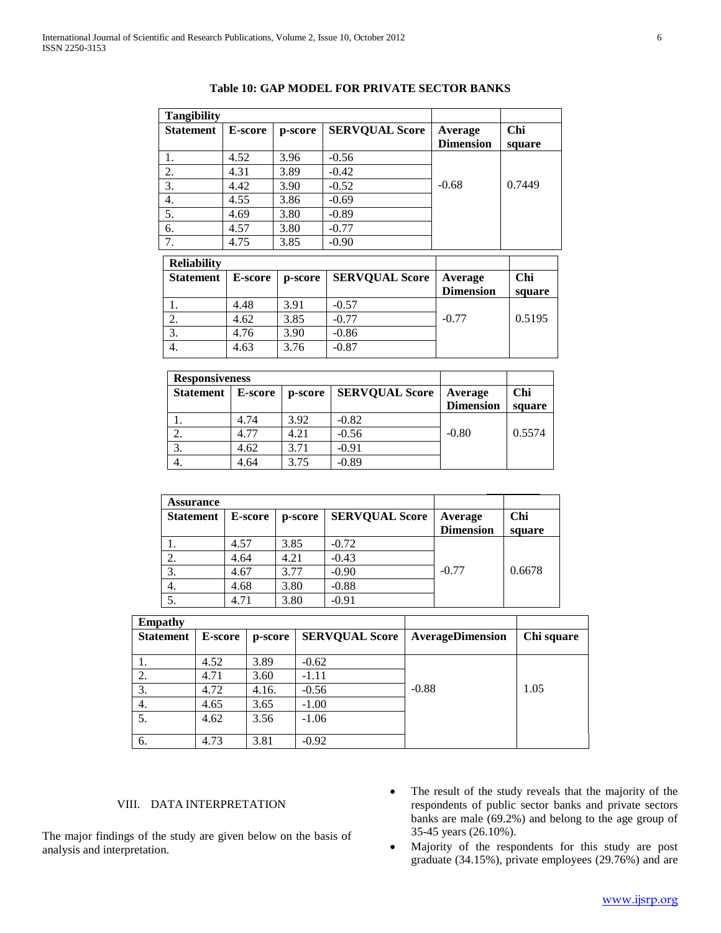| <b>Tangibility</b> |                    |          |                                      |                             |               |
|--------------------|--------------------|----------|--------------------------------------|-----------------------------|---------------|
| <b>Statement</b>   | <b>E-score</b>     | p-score  | <b>SERVQUAL Score</b>                | Average<br><b>Dimension</b> | Chi<br>square |
|                    | 4.52               | 3.96     | $-0.56$                              |                             |               |
| 2.                 | 4.31               | 3.89     | $-0.42$                              |                             |               |
| 3.                 | 4.42               | 3.90     | $-0.52$                              | $-0.68$                     | 0.7449        |
| 4.                 | 4.55               | 3.86     | $-0.69$                              |                             |               |
| 5.                 | 4.69               | 3.80     | $-0.89$                              |                             |               |
| 6.                 | 4.57               | 3.80     | $-0.77$                              |                             |               |
| 7.                 | 4.75               | 3.85     | $-0.90$                              |                             |               |
| <b>Reliability</b> |                    |          |                                      |                             |               |
| $C_{\text{total}}$ | $\mathbf{F}$ conve | $n$ anno | <b>CEDVALLAL</b><br>$C_{\text{max}}$ | $\Lambda$ -romains          | $\sim$        |

#### **Table 10: GAP MODEL FOR PRIVATE SECTOR BANKS**

| <b>Reliability</b> |                |         |                       |                             |               |  |  |
|--------------------|----------------|---------|-----------------------|-----------------------------|---------------|--|--|
| <b>Statement</b>   | <b>E-score</b> | p-score | <b>SERVQUAL Score</b> | Average<br><b>Dimension</b> | Chi<br>square |  |  |
|                    | 4.48           | 3.91    | $-0.57$               |                             |               |  |  |
| 2.                 | 4.62           | 3.85    | $-0.77$               | $-0.77$                     | 0.5195        |  |  |
| 3.                 | 4.76           | 3.90    | $-0.86$               |                             |               |  |  |
| 4.                 | 4.63           | 3.76    | $-0.87$               |                             |               |  |  |

| <b>Responsiveness</b> |                |         |                       |                  |        |
|-----------------------|----------------|---------|-----------------------|------------------|--------|
| <b>Statement</b>      | <b>E-score</b> | p-score | <b>SERVQUAL Score</b> | Average          | Chi    |
|                       |                |         |                       | <b>Dimension</b> | square |
|                       | 4.74           | 3.92    | $-0.82$               |                  |        |
|                       | 4.77           | 4.21    | $-0.56$               | $-0.80$          | 0.5574 |
|                       | 4.62           | 3.71    | $-0.91$               |                  |        |
| 4.                    | 4.64           | 3.75    | $-0.89$               |                  |        |

| <b>Assurance</b> |         |         |                       |                             |               |
|------------------|---------|---------|-----------------------|-----------------------------|---------------|
| <b>Statement</b> | E-score | p-score | <b>SERVQUAL Score</b> | Average<br><b>Dimension</b> | Chi<br>square |
|                  | 4.57    | 3.85    | $-0.72$               |                             |               |
| 2.               | 4.64    | 4.21    | $-0.43$               |                             |               |
| 3.               | 4.67    | 3.77    | $-0.90$               | $-0.77$                     | 0.6678        |
| 4.               | 4.68    | 3.80    | $-0.88$               |                             |               |
|                  | 4.71    | 3.80    | $-0.91$               |                             |               |

| <b>Empathy</b>   |                |         |                       |                         |            |
|------------------|----------------|---------|-----------------------|-------------------------|------------|
| <b>Statement</b> | <b>E-score</b> | p-score | <b>SERVQUAL Score</b> | <b>AverageDimension</b> | Chi square |
|                  |                |         |                       |                         |            |
|                  | 4.52           | 3.89    | $-0.62$               |                         |            |
| 2.               | 4.71           | 3.60    | $-1.11$               |                         |            |
| 3.               | 4.72           | 4.16.   | $-0.56$               | $-0.88$                 | 1.05       |
| 4.               | 4.65           | 3.65    | $-1.00$               |                         |            |
| 5.               | 4.62           | 3.56    | $-1.06$               |                         |            |
| 6.               | 4.73           | 3.81    | $-0.92$               |                         |            |

# VIII. DATA INTERPRETATION

The major findings of the study are given below on the basis of analysis and interpretation.

- The result of the study reveals that the majority of the respondents of public sector banks and private sectors banks are male (69.2%) and belong to the age group of 35-45 years (26.10%).
- Majority of the respondents for this study are post graduate (34.15%), private employees (29.76%) and are